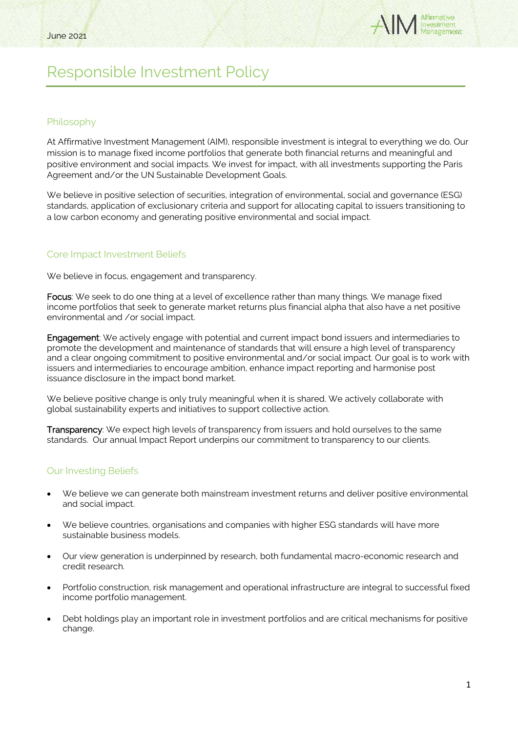

# Responsible Investment Policy

### Philosophy

At Affirmative Investment Management (AIM), responsible investment is integral to everything we do. Our mission is to manage fixed income portfolios that generate both financial returns and meaningful and positive environment and social impacts. We invest for impact, with all investments supporting the Paris Agreement and/or the UN Sustainable Development Goals.

We believe in positive selection of securities, integration of environmental, social and governance (ESG) standards, application of exclusionary criteria and support for allocating capital to issuers transitioning to a low carbon economy and generating positive environmental and social impact.

## Core Impact Investment Beliefs

We believe in focus, engagement and transparency.

Focus: We seek to do one thing at a level of excellence rather than many things. We manage fixed income portfolios that seek to generate market returns plus financial alpha that also have a net positive environmental and /or social impact.

Engagement: We actively engage with potential and current impact bond issuers and intermediaries to promote the development and maintenance of standards that will ensure a high level of transparency and a clear ongoing commitment to positive environmental and/or social impact. Our goal is to work with issuers and intermediaries to encourage ambition, enhance impact reporting and harmonise post issuance disclosure in the impact bond market.

We believe positive change is only truly meaningful when it is shared. We actively collaborate with global sustainability experts and initiatives to support collective action.

Transparency: We expect high levels of transparency from issuers and hold ourselves to the same standards. Our annual Impact Report underpins our commitment to transparency to our clients.

### Our Investing Beliefs

- We believe we can generate both mainstream investment returns and deliver positive environmental and social impact.
- We believe countries, organisations and companies with higher ESG standards will have more sustainable business models.
- Our view generation is underpinned by research, both fundamental macro-economic research and credit research.
- Portfolio construction, risk management and operational infrastructure are integral to successful fixed income portfolio management.
- Debt holdings play an important role in investment portfolios and are critical mechanisms for positive change.